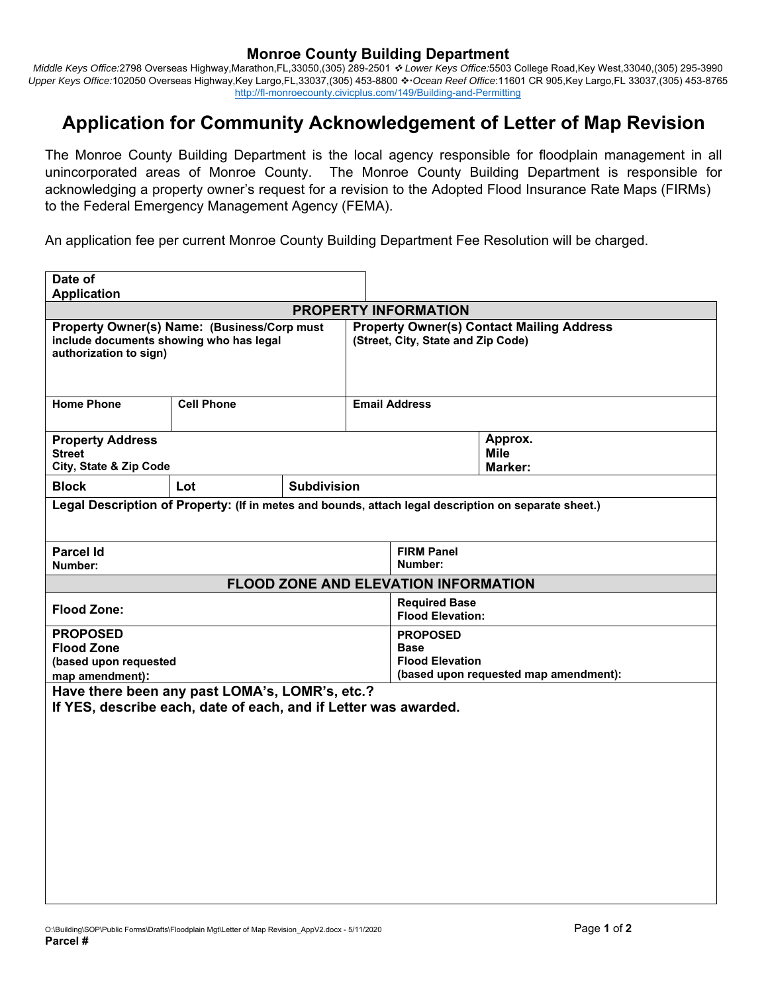## **Monroe County Building Department**

*Middle Keys Office:*2798 Overseas Highway,Marathon,FL,33050,(305) 289-2501  *Lower Keys Office:*5503 College Road,Key West,33040,(305) 295-3990 Upper Keys Office:102050 Overseas Highway,Key Largo,FL,33037,(305) 453-8800 � Ocean Reef Office:11601 CR 905,Key Largo,FL 33037,(305) 453-8765 http://fl-monroecounty.civicplus.com/149/Building-and-Permitting

## **Application for Community Acknowledgement of Letter of Map Revision**

The Monroe County Building Department is the local agency responsible for floodplain management in all unincorporated areas of Monroe County. The Monroe County Building Department is responsible for acknowledging a property owner's request for a revision to the Adopted Flood Insurance Rate Maps (FIRMs) to the Federal Emergency Management Agency (FEMA).

An application fee per current Monroe County Building Department Fee Resolution will be charged.

| Date of                                                                                                           |                   |                    |                                                                                        |                              |                                          |  |  |
|-------------------------------------------------------------------------------------------------------------------|-------------------|--------------------|----------------------------------------------------------------------------------------|------------------------------|------------------------------------------|--|--|
| <b>Application</b>                                                                                                |                   |                    |                                                                                        |                              |                                          |  |  |
| <b>PROPERTY INFORMATION</b>                                                                                       |                   |                    |                                                                                        |                              |                                          |  |  |
| Property Owner(s) Name: (Business/Corp must<br>include documents showing who has legal<br>authorization to sign)  |                   |                    | <b>Property Owner(s) Contact Mailing Address</b><br>(Street, City, State and Zip Code) |                              |                                          |  |  |
| <b>Home Phone</b>                                                                                                 | <b>Cell Phone</b> |                    | <b>Email Address</b>                                                                   |                              |                                          |  |  |
| <b>Property Address</b><br><b>Street</b><br>City, State & Zip Code                                                |                   |                    |                                                                                        |                              | Approx.<br><b>Mile</b><br><b>Marker:</b> |  |  |
| <b>Block</b>                                                                                                      | Lot               | <b>Subdivision</b> |                                                                                        |                              |                                          |  |  |
| Legal Description of Property: (If in metes and bounds, attach legal description on separate sheet.)              |                   |                    |                                                                                        |                              |                                          |  |  |
| <b>Parcel Id</b><br>Number:                                                                                       |                   |                    |                                                                                        | <b>FIRM Panel</b><br>Number: |                                          |  |  |
| <b>FLOOD ZONE AND ELEVATION INFORMATION</b>                                                                       |                   |                    |                                                                                        |                              |                                          |  |  |
| <b>Flood Zone:</b>                                                                                                |                   |                    | <b>Required Base</b><br><b>Flood Elevation:</b>                                        |                              |                                          |  |  |
| <b>PROPOSED</b>                                                                                                   |                   |                    | <b>PROPOSED</b>                                                                        |                              |                                          |  |  |
| <b>Flood Zone</b>                                                                                                 |                   |                    | Base                                                                                   |                              |                                          |  |  |
| (based upon requested                                                                                             |                   |                    | <b>Flood Elevation</b>                                                                 |                              |                                          |  |  |
| map amendment):                                                                                                   |                   |                    | (based upon requested map amendment):                                                  |                              |                                          |  |  |
| Have there been any past LOMA's, LOMR's, etc.?<br>If YES, describe each, date of each, and if Letter was awarded. |                   |                    |                                                                                        |                              |                                          |  |  |
|                                                                                                                   |                   |                    |                                                                                        |                              |                                          |  |  |
|                                                                                                                   |                   |                    |                                                                                        |                              |                                          |  |  |
|                                                                                                                   |                   |                    |                                                                                        |                              |                                          |  |  |
|                                                                                                                   |                   |                    |                                                                                        |                              |                                          |  |  |
|                                                                                                                   |                   |                    |                                                                                        |                              |                                          |  |  |
|                                                                                                                   |                   |                    |                                                                                        |                              |                                          |  |  |